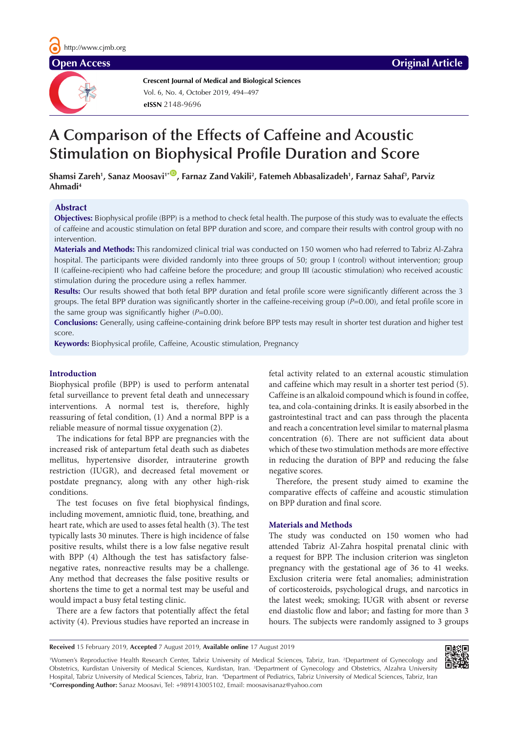**Crescent Journal of Medical and Biological Sciences eISSN** 2148-9696 Vol. 6, No. 4, October 2019, 494–497

# **A Comparison of the Effects of Caffeine and Acoustic Stimulation on Biophysical Profile Duration and Score**

 $S$ hamsi Zareh<sup>1</sup>, Sanaz Moosavi'\*®, Farnaz Zand Vakili<sup>2</sup>, Fatemeh Abbasalizadeh<sup>1</sup>, Farnaz Sahaf<sup>3</sup>, Parviz **Ahmadi4** 

# **Abstract**

**Objectives:** Biophysical profile (BPP) is a method to check fetal health. The purpose of this study was to evaluate the effects of caffeine and acoustic stimulation on fetal BPP duration and score, and compare their results with control group with no intervention.

**Materials and Methods:** This randomized clinical trial was conducted on 150 women who had referred to Tabriz Al-Zahra hospital. The participants were divided randomly into three groups of 50; group I (control) without intervention; group II (caffeine-recipient) who had caffeine before the procedure; and group III (acoustic stimulation) who received acoustic stimulation during the procedure using a reflex hammer.

**Results:** Our results showed that both fetal BPP duration and fetal profile score were significantly different across the 3 groups. The fetal BPP duration was significantly shorter in the caffeine-receiving group (*P*=0.00), and fetal profile score in the same group was significantly higher (*P*=0.00).

**Conclusions:** Generally, using caffeine-containing drink before BPP tests may result in shorter test duration and higher test score.

**Keywords:** Biophysical profile, Caffeine, Acoustic stimulation, Pregnancy

#### **Introduction**

Biophysical profile (BPP) is used to perform antenatal fetal surveillance to prevent fetal death and unnecessary interventions. A normal test is, therefore, highly reassuring of fetal condition, (1) And a normal BPP is a reliable measure of normal tissue oxygenation (2).

The indications for fetal BPP are pregnancies with the increased risk of antepartum fetal death such as diabetes mellitus, hypertensive disorder, intrauterine growth restriction (IUGR), and decreased fetal movement or postdate pregnancy, along with any other high-risk conditions.

The test focuses on five fetal biophysical findings, including movement, amniotic fluid, tone, breathing, and heart rate, which are used to asses fetal health (3). The test typically lasts 30 minutes. There is high incidence of false positive results, whilst there is a low false negative result with BPP (4) Although the test has satisfactory falsenegative rates, nonreactive results may be a challenge. Any method that decreases the false positive results or shortens the time to get a normal test may be useful and would impact a busy fetal testing clinic.

There are a few factors that potentially affect the fetal activity (4). Previous studies have reported an increase in

fetal activity related to an external acoustic stimulation and caffeine which may result in a shorter test period (5). Caffeine is an alkaloid compound which is found in coffee, tea, and cola-containing drinks. It is easily absorbed in the gastrointestinal tract and can pass through the placenta and reach a concentration level similar to maternal plasma concentration (6). There are not sufficient data about which of these two stimulation methods are more effective in reducing the duration of BPP and reducing the false negative scores.

Therefore, the present study aimed to examine the comparative effects of caffeine and acoustic stimulation on BPP duration and final score.

#### **Materials and Methods**

The study was conducted on 150 women who had attended Tabriz Al-Zahra hospital prenatal clinic with a request for BPP. The inclusion criterion was singleton pregnancy with the gestational age of 36 to 41 weeks. Exclusion criteria were fetal anomalies; administration of corticosteroids, psychological drugs, and narcotics in the latest week; smoking; IUGR with absent or reverse end diastolic flow and labor; and fasting for more than 3 hours. The subjects were randomly assigned to 3 groups

**Received** 15 February 2019, **Accepted** 7 August 2019, **Available online** 17 August 2019

1 Women's Reproductive Health Research Center, Tabriz University of Medical Sciences, Tabriz, Iran. 2 Department of Gynecology and Obstetrics, Kurdistan University of Medical Sciences, Kurdistan, Iran. <sup>3</sup>Department of Gynecology and Obstetrics, Alzahra University Hospital, Tabriz University of Medical Sciences, Tabriz, Iran. <sup>4</sup>Department of Pediatrics, Tabriz University of Medical Sciences, Tabriz, Iran \***Corresponding Author:** Sanaz Moosavi, Tel: +989143005102, Email: moosavisanaz@yahoo.com

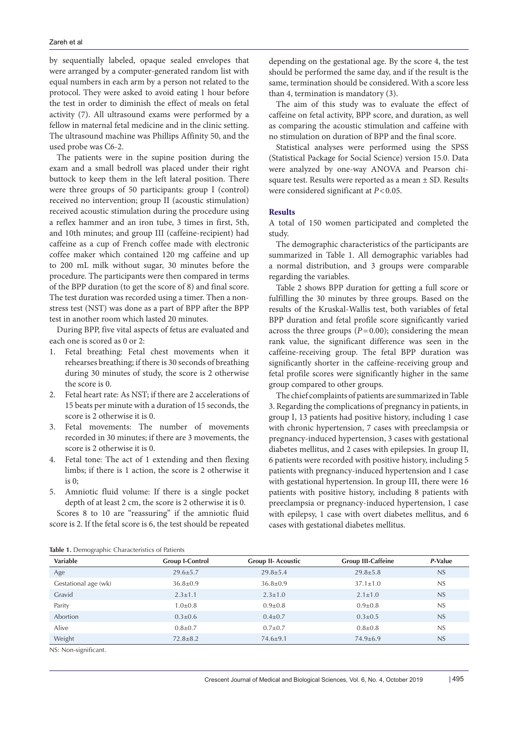by sequentially labeled, opaque sealed envelopes that were arranged by a computer-generated random list with equal numbers in each arm by a person not related to the protocol. They were asked to avoid eating 1 hour before the test in order to diminish the effect of meals on fetal activity (7). All ultrasound exams were performed by a fellow in maternal fetal medicine and in the clinic setting. The ultrasound machine was Phillips Affinity 50, and the used probe was C6-2.

The patients were in the supine position during the exam and a small bedroll was placed under their right buttock to keep them in the left lateral position. There were three groups of 50 participants: group I (control) received no intervention; group II (acoustic stimulation) received acoustic stimulation during the procedure using a reflex hammer and an iron tube, 3 times in first, 5th, and 10th minutes; and group III (caffeine-recipient) had caffeine as a cup of French coffee made with electronic coffee maker which contained 120 mg caffeine and up to 200 mL milk without sugar, 30 minutes before the procedure. The participants were then compared in terms of the BPP duration (to get the score of 8) and final score. The test duration was recorded using a timer. Then a nonstress test (NST) was done as a part of BPP after the BPP test in another room which lasted 20 minutes.

During BPP, five vital aspects of fetus are evaluated and each one is scored as 0 or 2:

- 1. Fetal breathing: Fetal chest movements when it rehearses breathing; if there is 30 seconds of breathing during 30 minutes of study, the score is 2 otherwise the score is 0.
- 2. Fetal heart rate: As NST; if there are 2 accelerations of 15 beats per minute with a duration of 15 seconds, the score is 2 otherwise it is 0.
- 3. Fetal movements: The number of movements recorded in 30 minutes; if there are 3 movements, the score is 2 otherwise it is 0.
- 4. Fetal tone: The act of 1 extending and then flexing limbs; if there is 1 action, the score is 2 otherwise it is  $0$ :
- 5. Amniotic fluid volume: If there is a single pocket depth of at least 2 cm, the score is 2 otherwise it is 0.

Scores 8 to 10 are "reassuring" if the amniotic fluid score is 2. If the fetal score is 6, the test should be repeated depending on the gestational age. By the score 4, the test should be performed the same day, and if the result is the same, termination should be considered. With a score less than 4, termination is mandatory (3).

The aim of this study was to evaluate the effect of caffeine on fetal activity, BPP score, and duration, as well as comparing the acoustic stimulation and caffeine with no stimulation on duration of BPP and the final score.

Statistical analyses were performed using the SPSS (Statistical Package for Social Science) version 15.0. Data were analyzed by one-way ANOVA and Pearson chisquare test. Results were reported as a mean ± SD. Results were considered significant at  $P < 0.05$ .

### **Results**

A total of 150 women participated and completed the study.

The demographic characteristics of the participants are summarized in Table 1. All demographic variables had a normal distribution, and 3 groups were comparable regarding the variables.

Table 2 shows BPP duration for getting a full score or fulfilling the 30 minutes by three groups. Based on the results of the Kruskal-Wallis test, both variables of fetal BPP duration and fetal profile score significantly varied across the three groups  $(P=0.00)$ ; considering the mean rank value, the significant difference was seen in the caffeine-receiving group. The fetal BPP duration was significantly shorter in the caffeine-receiving group and fetal profile scores were significantly higher in the same group compared to other groups.

The chief complaints of patients are summarized in Table 3. Regarding the complications of pregnancy in patients, in group I, 13 patients had positive history, including 1 case with chronic hypertension, 7 cases with preeclampsia or pregnancy-induced hypertension, 3 cases with gestational diabetes mellitus, and 2 cases with epilepsies. In group II, 6 patients were recorded with positive history, including 5 patients with pregnancy-induced hypertension and 1 case with gestational hypertension. In group III, there were 16 patients with positive history, including 8 patients with preeclampsia or pregnancy-induced hypertension, 1 case with epilepsy, 1 case with overt diabetes mellitus, and 6 cases with gestational diabetes mellitus.

| <b>Variable</b>      | <b>Group I-Control</b> | <b>Group II- Acoustic</b> | <b>Group III-Caffeine</b> | P-Value |
|----------------------|------------------------|---------------------------|---------------------------|---------|
| Age                  | $29.6 \pm 5.7$         | $29.8 \pm 5.4$            | $29.8 \pm 5.8$            | NS      |
| Gestational age (wk) | $36.8 \pm 0.9$         | $36.8 \pm 0.9$            | $37.1 \pm 1.0$            | NS      |
| Gravid               | $2.3 \pm 1.1$          | $2.3 \pm 1.0$             | $2.1 \pm 1.0$             | NS      |
| Parity               | $1.0 \pm 0.8$          | $0.9{\pm}0.8$             | $0.9{\pm}0.8$             | NS      |
| Abortion             | $0.3 \pm 0.6$          | $0.4 \pm 0.7$             | $0.3 \pm 0.5$             | NS      |
| Alive                | $0.8 \pm 0.7$          | $0.7 + 0.7$               | $0.8{\pm}0.8$             | NS      |
| Weight               | $72.8 \pm 8.2$         | $74.6 \pm 9.1$            | $74.9 \pm 6.9$            | NS      |

**Table 1.** Demographic Characteristics of Patients

NS: Non-significant.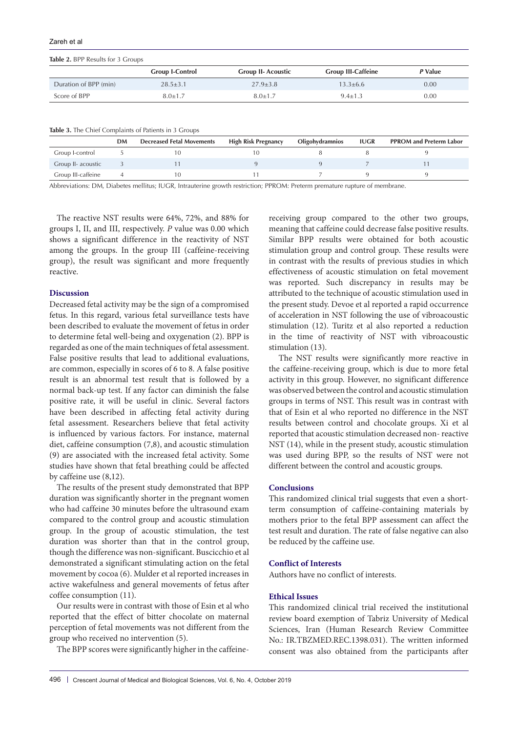Zareh et al

**Table 2.** BPP Results for 3 Groups

|                       | <b>Group I-Control</b> | <b>Group II- Acoustic</b> | <b>Group III-Caffeine</b> | P Value |  |
|-----------------------|------------------------|---------------------------|---------------------------|---------|--|
| Duration of BPP (min) | $28.5 \pm 3.1$         | $27.9 \pm 3.8$            | $13.3 + 6.6$              | 0.00    |  |
| Score of BPP          | $8.0 + 1.7$            | $8.0 \pm 1.7$             | $9.4 \pm 1.3$             | 0.00    |  |

| Table 3. The Chief Complaints of Patients in 3 Groups |  |  |  |
|-------------------------------------------------------|--|--|--|
|-------------------------------------------------------|--|--|--|

|                    | DM | <b>Decreased Fetal Movements</b> | <b>High Risk Pregnancy</b> | <b>Oligohydramnios</b> | <b>IUGR</b> | <b>PPROM and Preterm Labor</b> |
|--------------------|----|----------------------------------|----------------------------|------------------------|-------------|--------------------------------|
| Group I-control    |    |                                  |                            |                        |             |                                |
| Group II- acoustic |    |                                  |                            |                        |             |                                |
| Group III-caffeine |    |                                  |                            |                        |             |                                |

Abbreviations: DM, Diabetes mellitus; IUGR, Intrauterine growth restriction; PPROM: Preterm premature rupture of membrane.

The reactive NST results were 64%, 72%, and 88% for groups I, II, and III, respectively. *P* value was 0.00 which shows a significant difference in the reactivity of NST among the groups. In the group III (caffeine-receiving group), the result was significant and more frequently reactive.

# **Discussion**

Decreased fetal activity may be the sign of a compromised fetus. In this regard, various fetal surveillance tests have been described to evaluate the movement of fetus in order to determine fetal well-being and oxygenation (2). BPP is regarded as one of the main techniques of fetal assessment. False positive results that lead to additional evaluations, are common, especially in scores of 6 to 8. A false positive result is an abnormal test result that is followed by a normal back-up test. If any factor can diminish the false positive rate, it will be useful in clinic. Several factors have been described in affecting fetal activity during fetal assessment. Researchers believe that fetal activity is influenced by various factors. For instance, maternal diet, caffeine consumption (7,8), and acoustic stimulation (9) are associated with the increased fetal activity. Some studies have shown that fetal breathing could be affected by caffeine use (8,12).

The results of the present study demonstrated that BPP duration was significantly shorter in the pregnant women who had caffeine 30 minutes before the ultrasound exam compared to the control group and acoustic stimulation group. In the group of acoustic stimulation, the test duration was shorter than that in the control group, though the difference was non-significant. Buscicchio et al demonstrated a significant stimulating action on the fetal movement by cocoa (6). Mulder et al reported increases in active wakefulness and general movements of fetus after coffee consumption (11).

Our results were in contrast with those of Esin et al who reported that the effect of bitter chocolate on maternal perception of fetal movements was not different from the group who received no intervention (5).

The BPP scores were significantly higher in the caffeine-

receiving group compared to the other two groups, meaning that caffeine could decrease false positive results. Similar BPP results were obtained for both acoustic stimulation group and control group. These results were in contrast with the results of previous studies in which effectiveness of acoustic stimulation on fetal movement was reported. Such discrepancy in results may be attributed to the technique of acoustic stimulation used in the present study. Devoe et al reported a rapid occurrence of acceleration in NST following the use of vibroacoustic stimulation (12). Turitz et al also reported a reduction in the time of reactivity of NST with vibroacoustic stimulation (13).

The NST results were significantly more reactive in the caffeine-receiving group, which is due to more fetal activity in this group. However, no significant difference was observed between the control and acoustic stimulation groups in terms of NST. This result was in contrast with that of Esin et al who reported no difference in the NST results between control and chocolate groups. Xi et al reported that acoustic stimulation decreased non- reactive NST (14), while in the present study, acoustic stimulation was used during BPP, so the results of NST were not different between the control and acoustic groups.

#### **Conclusions**

This randomized clinical trial suggests that even a shortterm consumption of caffeine-containing materials by mothers prior to the fetal BPP assessment can affect the test result and duration. The rate of false negative can also be reduced by the caffeine use.

#### **Conflict of Interests**

Authors have no conflict of interests.

# **Ethical Issues**

This randomized clinical trial received the institutional review board exemption of Tabriz University of Medical Sciences, Iran (Human Research Review Committee No.: IR.TBZMED.REC.1398.031). The written informed consent was also obtained from the participants after